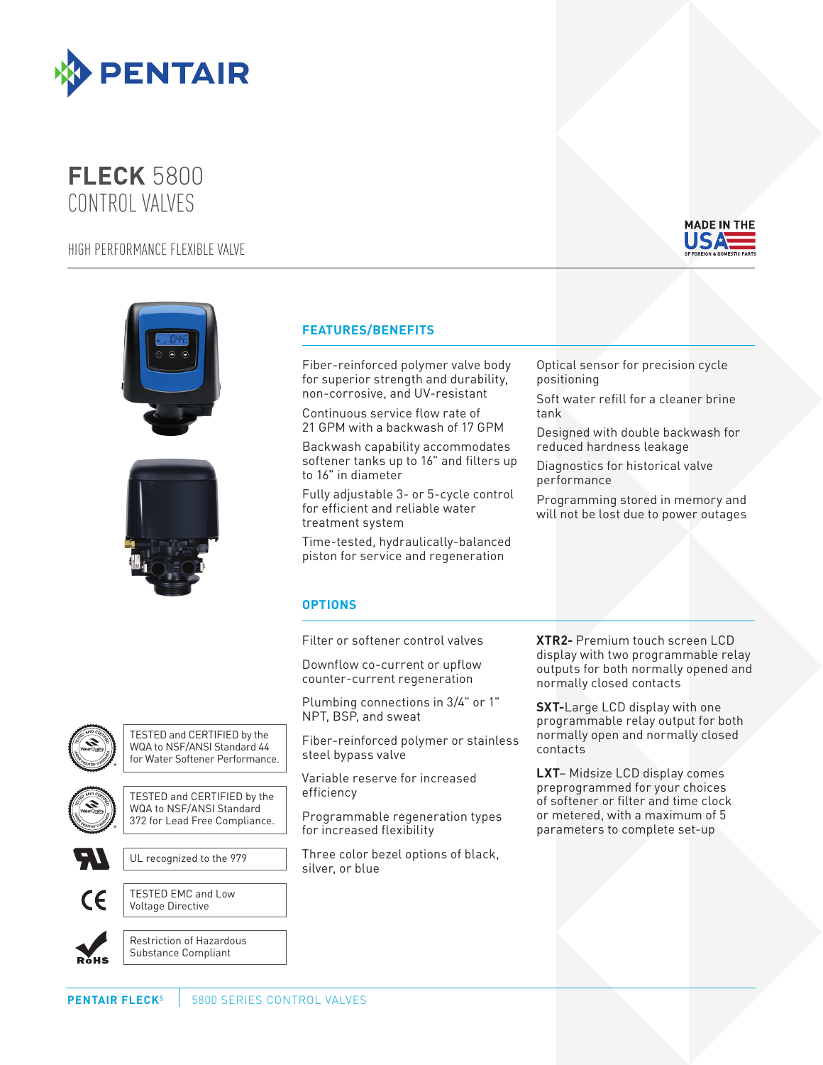

## **FLECK** 5800 CONTROL VALVES

HIGH PERFORMANCE FLEXIBLE VALVE



Coated Stock - CMYK





## **FEATURES/BENEFITS**

Fiber-reinforced polymer valve body for superior strength and durability, non-corrosive, and UV-resistant

Continuous service flow rate of 21 GPM with a backwash of 17 GPM

Backwash capability accommodates softener tanks up to 16" and filters up to 16" in diameter

Fully adjustable 3- or 5-cycle control for efficient and reliable water treatment system

Time-tested, hydraulically-balanced piston for service and regeneration

Optical sensor for precision cycle positioning

Soft water refill for a cleaner brine tank

Designed with double backwash for reduced hardness leakage

Diagnostics for historical valve performance

Programming stored in memory and will not be lost due to power outages

## **OPTIONS**

Filter or softener control valves

Downflow co-current or upflow counter-current regeneration

Plumbing connections in 3/4" or 1" NPT, BSP, and sweat

Fiber-reinforced polymer or stainless steel bypass valve

Variable reserve for increased efficiency

Programmable regeneration types for increased flexibility

Three color bezel options of black, silver, or blue

**XTR2-** Premium touch screen LCD display with two programmable relay outputs for both normally opened and normally closed contacts

**SXT-**Large LCD display with one programmable relay output for both normally open and normally closed contacts

**LXT**– Midsize LCD display comes preprogrammed for your choices of softener or filter and time clock or metered, with a maximum of 5 parameters to complete set-up





TESTED and CERTIFIED by the WQA to NSF/ANSI Standard 372 for Lead Free Compliance.



UL recognized to the 979



TESTED EMC and Low Voltage Directive

**ROHS**